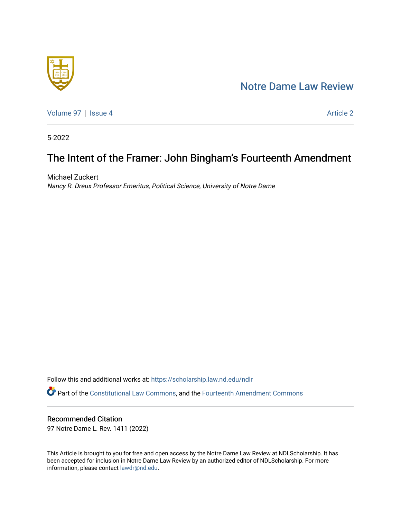## [Notre Dame Law Review](https://scholarship.law.nd.edu/ndlr)



[Volume 97](https://scholarship.law.nd.edu/ndlr/vol97) | [Issue 4](https://scholarship.law.nd.edu/ndlr/vol97/iss4) Article 2

5-2022

# The Intent of the Framer: John Bingham's Fourteenth Amendment

Michael Zuckert Nancy R. Dreux Professor Emeritus, Political Science, University of Notre Dame

Follow this and additional works at: [https://scholarship.law.nd.edu/ndlr](https://scholarship.law.nd.edu/ndlr?utm_source=scholarship.law.nd.edu%2Fndlr%2Fvol97%2Fiss4%2F2&utm_medium=PDF&utm_campaign=PDFCoverPages) Part of the [Constitutional Law Commons,](https://network.bepress.com/hgg/discipline/589?utm_source=scholarship.law.nd.edu%2Fndlr%2Fvol97%2Fiss4%2F2&utm_medium=PDF&utm_campaign=PDFCoverPages) and the [Fourteenth Amendment Commons](https://network.bepress.com/hgg/discipline/1116?utm_source=scholarship.law.nd.edu%2Fndlr%2Fvol97%2Fiss4%2F2&utm_medium=PDF&utm_campaign=PDFCoverPages) 

### Recommended Citation

97 Notre Dame L. Rev. 1411 (2022)

This Article is brought to you for free and open access by the Notre Dame Law Review at NDLScholarship. It has been accepted for inclusion in Notre Dame Law Review by an authorized editor of NDLScholarship. For more information, please contact [lawdr@nd.edu.](mailto:lawdr@nd.edu)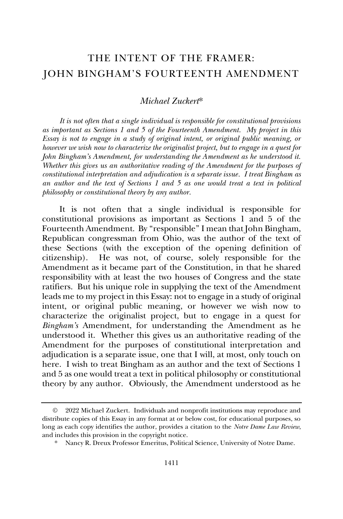### THE INTENT OF THE FRAMER: JOHN BINGHAM'S FOURTEENTH AMENDMENT

#### *Michael Zuckert*\*

*It is not often that a single individual is responsible for constitutional provisions as important as Sections 1 and 5 of the Fourteenth Amendment. My project in this Essay is not to engage in a study of original intent, or original public meaning, or however we wish now to characterize the originalist project, but to engage in a quest for John Bingham's Amendment, for understanding the Amendment as he understood it. Whether this gives us an authoritative reading of the Amendment for the purposes of constitutional interpretation and adjudication is a separate issue. I treat Bingham as an author and the text of Sections 1 and 5 as one would treat a text in political philosophy or constitutional theory by any author.*

It is not often that a single individual is responsible for constitutional provisions as important as Sections 1 and 5 of the Fourteenth Amendment. By "responsible" I mean that John Bingham, Republican congressman from Ohio, was the author of the text of these Sections (with the exception of the opening definition of citizenship). He was not, of course, solely responsible for the Amendment as it became part of the Constitution, in that he shared responsibility with at least the two houses of Congress and the state ratifiers. But his unique role in supplying the text of the Amendment leads me to my project in this Essay: not to engage in a study of original intent, or original public meaning, or however we wish now to characterize the originalist project, but to engage in a quest for *Bingham's* Amendment, for understanding the Amendment as he understood it. Whether this gives us an authoritative reading of the Amendment for the purposes of constitutional interpretation and adjudication is a separate issue, one that I will, at most, only touch on here. I wish to treat Bingham as an author and the text of Sections 1 and 5 as one would treat a text in political philosophy or constitutional theory by any author. Obviously, the Amendment understood as he

<sup>©</sup> 2022 Michael Zuckert. Individuals and nonprofit institutions may reproduce and distribute copies of this Essay in any format at or below cost, for educational purposes, so long as each copy identifies the author, provides a citation to the *Notre Dame Law Review*, and includes this provision in the copyright notice.

<sup>\*</sup> Nancy R. Dreux Professor Emeritus, Political Science, University of Notre Dame.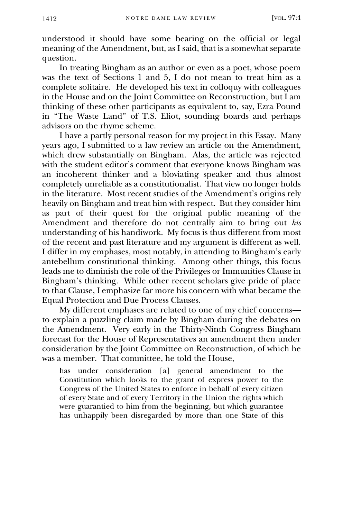understood it should have some bearing on the official or legal meaning of the Amendment, but, as I said, that is a somewhat separate question.

In treating Bingham as an author or even as a poet, whose poem was the text of Sections 1 and 5, I do not mean to treat him as a complete solitaire. He developed his text in colloquy with colleagues in the House and on the Joint Committee on Reconstruction, but I am thinking of these other participants as equivalent to, say, Ezra Pound in "The Waste Land" of T.S. Eliot, sounding boards and perhaps advisors on the rhyme scheme.

I have a partly personal reason for my project in this Essay. Many years ago, I submitted to a law review an article on the Amendment, which drew substantially on Bingham. Alas, the article was rejected with the student editor's comment that everyone knows Bingham was an incoherent thinker and a bloviating speaker and thus almost completely unreliable as a constitutionalist. That view no longer holds in the literature. Most recent studies of the Amendment's origins rely heavily on Bingham and treat him with respect. But they consider him as part of their quest for the original public meaning of the Amendment and therefore do not centrally aim to bring out *his* understanding of his handiwork. My focus is thus different from most of the recent and past literature and my argument is different as well. I differ in my emphases, most notably, in attending to Bingham's early antebellum constitutional thinking. Among other things, this focus leads me to diminish the role of the Privileges or Immunities Clause in Bingham's thinking. While other recent scholars give pride of place to that Clause, I emphasize far more his concern with what became the Equal Protection and Due Process Clauses.

My different emphases are related to one of my chief concerns to explain a puzzling claim made by Bingham during the debates on the Amendment. Very early in the Thirty-Ninth Congress Bingham forecast for the House of Representatives an amendment then under consideration by the Joint Committee on Reconstruction, of which he was a member. That committee, he told the House,

has under consideration [a] general amendment to the Constitution which looks to the grant of express power to the Congress of the United States to enforce in behalf of every citizen of every State and of every Territory in the Union the rights which were guarantied to him from the beginning, but which guarantee has unhappily been disregarded by more than one State of this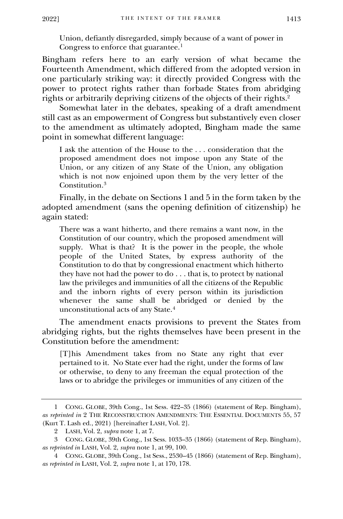Union, defiantly disregarded, simply because of a want of power in Congress to enforce that guarantee.<sup>1</sup>

Bingham refers here to an early version of what became the Fourteenth Amendment, which differed from the adopted version in one particularly striking way: it directly provided Congress with the power to protect rights rather than forbade States from abridging rights or arbitrarily depriving citizens of the objects of their rights.<sup>2</sup>

Somewhat later in the debates, speaking of a draft amendment still cast as an empowerment of Congress but substantively even closer to the amendment as ultimately adopted, Bingham made the same point in somewhat different language:

I ask the attention of the House to the . . . consideration that the proposed amendment does not impose upon any State of the Union, or any citizen of any State of the Union, any obligation which is not now enjoined upon them by the very letter of the Constitution.<sup>3</sup>

Finally, in the debate on Sections 1 and 5 in the form taken by the adopted amendment (sans the opening definition of citizenship) he again stated:

There was a want hitherto, and there remains a want now, in the Constitution of our country, which the proposed amendment will supply. What is that? It is the power in the people, the whole people of the United States, by express authority of the Constitution to do that by congressional enactment which hitherto they have not had the power to do . . . that is, to protect by national law the privileges and immunities of all the citizens of the Republic and the inborn rights of every person within its jurisdiction whenever the same shall be abridged or denied by the unconstitutional acts of any State.<sup>4</sup>

The amendment enacts provisions to prevent the States from abridging rights, but the rights themselves have been present in the Constitution before the amendment:

[T]his Amendment takes from no State any right that ever pertained to it. No State ever had the right, under the forms of law or otherwise, to deny to any freeman the equal protection of the laws or to abridge the privileges or immunities of any citizen of the

<sup>1</sup> CONG. GLOBE, 39th Cong., 1st Sess. 422–35 (1866) (statement of Rep. Bingham), *as reprinted in* 2 THE RECONSTRUCTION AMENDMENTS: THE ESSENTIAL DOCUMENTS 55, 57 (Kurt T. Lash ed., 2021) [hereinafter LASH, Vol. 2].

<sup>2</sup> LASH, Vol. 2, *supra* note 1, at 7.

<sup>3</sup> CONG. GLOBE, 39th Cong., 1st Sess. 1033–35 (1866) (statement of Rep. Bingham), *as reprinted in* LASH, Vol. 2, *supra* note 1, at 99, 100.

<sup>4</sup> CONG. GLOBE, 39th Cong., 1st Sess., 2530–45 (1866) (statement of Rep. Bingham), *as reprinted in* LASH, Vol. 2, *supra* note 1, at 170, 178.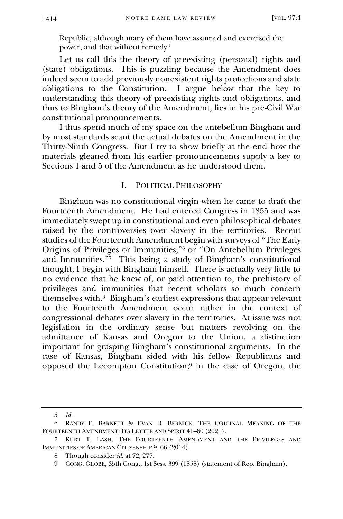Republic, although many of them have assumed and exercised the power, and that without remedy.<sup>5</sup>

Let us call this the theory of preexisting (personal) rights and (state) obligations. This is puzzling because the Amendment does indeed seem to add previously nonexistent rights protections and state obligations to the Constitution. I argue below that the key to understanding this theory of preexisting rights and obligations, and thus to Bingham's theory of the Amendment, lies in his pre-Civil War constitutional pronouncements.

I thus spend much of my space on the antebellum Bingham and by most standards scant the actual debates on the Amendment in the Thirty-Ninth Congress. But I try to show briefly at the end how the materials gleaned from his earlier pronouncements supply a key to Sections 1 and 5 of the Amendment as he understood them.

#### I. POLITICAL PHILOSOPHY

Bingham was no constitutional virgin when he came to draft the Fourteenth Amendment. He had entered Congress in 1855 and was immediately swept up in constitutional and even philosophical debates raised by the controversies over slavery in the territories. Recent studies of the Fourteenth Amendment begin with surveys of "The Early Origins of Privileges or Immunities,"<sup>6</sup> or "On Antebellum Privileges and Immunities." 7 This being a study of Bingham's constitutional thought, I begin with Bingham himself. There is actually very little to no evidence that he knew of, or paid attention to, the prehistory of privileges and immunities that recent scholars so much concern themselves with.<sup>8</sup> Bingham's earliest expressions that appear relevant to the Fourteenth Amendment occur rather in the context of congressional debates over slavery in the territories. At issue was not legislation in the ordinary sense but matters revolving on the admittance of Kansas and Oregon to the Union, a distinction important for grasping Bingham's constitutional arguments. In the case of Kansas, Bingham sided with his fellow Republicans and opposed the Lecompton Constitution;<sup>9</sup> in the case of Oregon, the

<sup>5</sup> *Id.*

<sup>6</sup> RANDY E. BARNETT & EVAN D. BERNICK, THE ORIGINAL MEANING OF THE FOURTEENTH AMENDMENT: ITS LETTER AND SPIRIT 41–60 (2021).

<sup>7</sup> KURT T. LASH, THE FOURTEENTH AMENDMENT AND THE PRIVILEGES AND IMMUNITIES OF AMERICAN CITIZENSHIP 9–66 (2014).

<sup>8</sup> Though consider *id.* at 72, 277.

<sup>9</sup> CONG. GLOBE, 35th Cong., 1st Sess. 399 (1858) (statement of Rep. Bingham).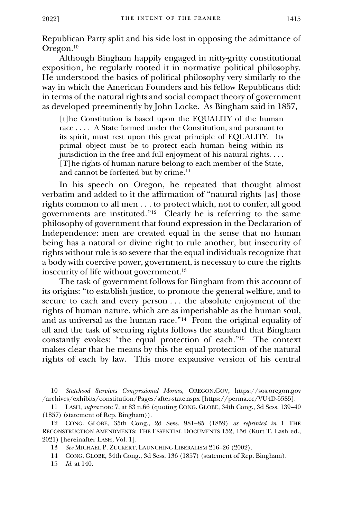Republican Party split and his side lost in opposing the admittance of Oregon.<sup>10</sup>

Although Bingham happily engaged in nitty-gritty constitutional exposition, he regularly rooted it in normative political philosophy. He understood the basics of political philosophy very similarly to the way in which the American Founders and his fellow Republicans did: in terms of the natural rights and social compact theory of government as developed preeminently by John Locke. As Bingham said in 1857,

[t]he Constitution is based upon the EQUALITY of the human race . . . . A State formed under the Constitution, and pursuant to its spirit, must rest upon this great principle of EQUALITY. Its primal object must be to protect each human being within its jurisdiction in the free and full enjoyment of his natural rights. . . . [T]he rights of human nature belong to each member of the State, and cannot be forfeited but by crime.<sup>11</sup>

In his speech on Oregon, he repeated that thought almost verbatim and added to it the affirmation of "natural rights [as] those rights common to all men . . . to protect which, not to confer, all good governments are instituted."<sup>12</sup> Clearly he is referring to the same philosophy of government that found expression in the Declaration of Independence: men are created equal in the sense that no human being has a natural or divine right to rule another, but insecurity of rights without rule is so severe that the equal individuals recognize that a body with coercive power, government, is necessary to cure the rights insecurity of life without government.<sup>13</sup>

The task of government follows for Bingham from this account of its origins: "to establish justice, to promote the general welfare, and to secure to each and every person . . . the absolute enjoyment of the rights of human nature, which are as imperishable as the human soul, and as universal as the human race."<sup>14</sup> From the original equality of all and the task of securing rights follows the standard that Bingham constantly evokes: "the equal protection of each."<sup>15</sup> The context makes clear that he means by this the equal protection of the natural rights of each by law. This more expansive version of his central

15 *Id.* at 140.

<sup>10</sup> *Statehood Survives Congressional Morass*, OREGON.GOV, https://sos.oregon.gov /archives/exhibits/constitution/Pages/after-state.aspx [https://perma.cc/VU4D-55S5].

<sup>11</sup> LASH, *supra* note 7, at 83 n.66 (quoting CONG. GLOBE, 34th Cong., 3d Sess. 139–40 (1857) (statement of Rep. Bingham)).

<sup>12</sup> CONG. GLOBE, 35th Cong., 2d Sess. 981–85 (1859) *as reprinted in* 1 THE RECONSTRUCTION AMENDMENTS: THE ESSENTIAL DOCUMENTS 152, 156 (Kurt T. Lash ed., 2021) [hereinafter LASH, Vol. 1].

<sup>13</sup> *See* MICHAEL P. ZUCKERT, LAUNCHING LIBERALISM 216–26 (2002).

<sup>14</sup> CONG. GLOBE, 34th Cong., 3d Sess. 136 (1857) (statement of Rep. Bingham).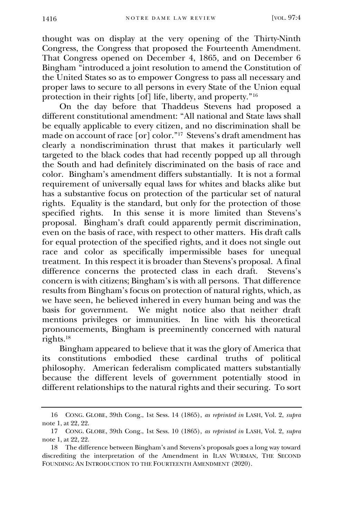thought was on display at the very opening of the Thirty-Ninth Congress, the Congress that proposed the Fourteenth Amendment. That Congress opened on December 4, 1865, and on December 6 Bingham "introduced a joint resolution to amend the Constitution of the United States so as to empower Congress to pass all necessary and proper laws to secure to all persons in every State of the Union equal protection in their rights  $[\text{of}]$  life, liberty, and property."<sup>16</sup>

On the day before that Thaddeus Stevens had proposed a different constitutional amendment: "All national and State laws shall be equally applicable to every citizen, and no discrimination shall be made on account of race [or] color."<sup>17</sup> Stevens's draft amendment has clearly a nondiscrimination thrust that makes it particularly well targeted to the black codes that had recently popped up all through the South and had definitely discriminated on the basis of race and color. Bingham's amendment differs substantially. It is not a formal requirement of universally equal laws for whites and blacks alike but has a substantive focus on protection of the particular set of natural rights. Equality is the standard, but only for the protection of those specified rights. In this sense it is more limited than Stevens's proposal. Bingham's draft could apparently permit discrimination, even on the basis of race, with respect to other matters. His draft calls for equal protection of the specified rights, and it does not single out race and color as specifically impermissible bases for unequal treatment. In this respect it is broader than Stevens's proposal. A final difference concerns the protected class in each draft. Stevens's concern is with citizens; Bingham's is with all persons. That difference results from Bingham's focus on protection of natural rights, which, as we have seen, he believed inhered in every human being and was the basis for government. We might notice also that neither draft mentions privileges or immunities. In line with his theoretical pronouncements, Bingham is preeminently concerned with natural rights.<sup>18</sup>

Bingham appeared to believe that it was the glory of America that its constitutions embodied these cardinal truths of political philosophy. American federalism complicated matters substantially because the different levels of government potentially stood in different relationships to the natural rights and their securing. To sort

<sup>16</sup> CONG. GLOBE, 39th Cong., 1st Sess. 14 (1865), *as reprinted in* LASH, Vol. 2, *supra*  note 1, at 22, 22.

<sup>17</sup> CONG. GLOBE, 39th Cong., 1st Sess. 10 (1865), *as reprinted in* LASH, Vol. 2, *supra*  note 1, at 22, 22.

<sup>18</sup> The difference between Bingham's and Stevens's proposals goes a long way toward discrediting the interpretation of the Amendment in ILAN WURMAN, THE SECOND FOUNDING: AN INTRODUCTION TO THE FOURTEENTH AMENDMENT (2020).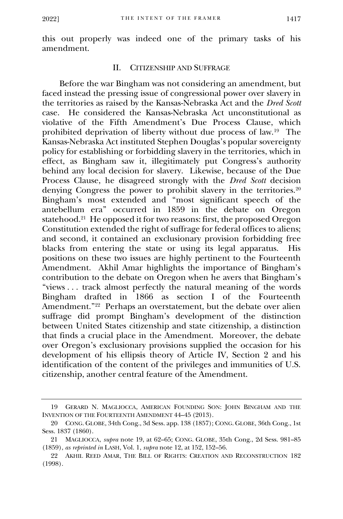this out properly was indeed one of the primary tasks of his amendment.

#### II. CITIZENSHIP AND SUFFRAGE

Before the war Bingham was not considering an amendment, but faced instead the pressing issue of congressional power over slavery in the territories as raised by the Kansas-Nebraska Act and the *Dred Scott* case. He considered the Kansas-Nebraska Act unconstitutional as violative of the Fifth Amendment's Due Process Clause, which prohibited deprivation of liberty without due process of law.<sup>19</sup> The Kansas-Nebraska Act instituted Stephen Douglas's popular sovereignty policy for establishing or forbidding slavery in the territories, which in effect, as Bingham saw it, illegitimately put Congress's authority behind any local decision for slavery. Likewise, because of the Due Process Clause, he disagreed strongly with the *Dred Scott* decision denying Congress the power to prohibit slavery in the territories.<sup>20</sup> Bingham's most extended and "most significant speech of the antebellum era" occurred in 1859 in the debate on Oregon statehood.<sup>21</sup> He opposed it for two reasons: first, the proposed Oregon Constitution extended the right of suffrage for federal offices to aliens; and second, it contained an exclusionary provision forbidding free blacks from entering the state or using its legal apparatus. His positions on these two issues are highly pertinent to the Fourteenth Amendment. Akhil Amar highlights the importance of Bingham's contribution to the debate on Oregon when he avers that Bingham's "views . . . track almost perfectly the natural meaning of the words Bingham drafted in 1866 as section I of the Fourteenth Amendment."<sup>22</sup> Perhaps an overstatement, but the debate over alien suffrage did prompt Bingham's development of the distinction between United States citizenship and state citizenship, a distinction that finds a crucial place in the Amendment. Moreover, the debate over Oregon's exclusionary provisions supplied the occasion for his development of his ellipsis theory of Article IV, Section 2 and his identification of the content of the privileges and immunities of U.S. citizenship, another central feature of the Amendment.

<sup>19</sup> GERARD N. MAGLIOCCA, AMERICAN FOUNDING SON: JOHN BINGHAM AND THE INVENTION OF THE FOURTEENTH AMENDMENT 44–45 (2013).

<sup>20</sup> CONG. GLOBE, 34th Cong., 3d Sess. app. 138 (1857); CONG. GLOBE, 36th Cong., 1st Sess. 1837 (1860).

<sup>21</sup> MAGLIOCCA, *supra* note 19, at 62–65; CONG. GLOBE, 35th Cong., 2d Sess. 981–85 (1859), *as reprinted in* LASH, Vol. 1, *supra* note 12, at 152, 152–56.

<sup>22</sup> AKHIL REED AMAR, THE BILL OF RIGHTS: CREATION AND RECONSTRUCTION 182 (1998).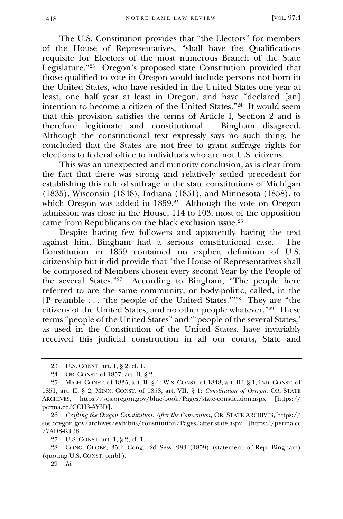The U.S. Constitution provides that "the Electors" for members of the House of Representatives, "shall have the Qualifications requisite for Electors of the most numerous Branch of the State Legislature." 23 Oregon's proposed state Constitution provided that those qualified to vote in Oregon would include persons not born in the United States, who have resided in the United States one year at least, one half year at least in Oregon, and have "declared [an] intention to become a citizen of the United States."<sup>24</sup> It would seem that this provision satisfies the terms of Article I, Section 2 and is therefore legitimate and constitutional. Although the constitutional text expressly says no such thing, he concluded that the States are not free to grant suffrage rights for elections to federal office to individuals who are not U.S. citizens.

This was an unexpected and minority conclusion, as is clear from the fact that there was strong and relatively settled precedent for establishing this rule of suffrage in the state constitutions of Michigan (1835), Wisconsin (1848), Indiana (1851), and Minnesota (1858), to which Oregon was added in 1859.<sup>25</sup> Although the vote on Oregon admission was close in the House, 114 to 103, most of the opposition came from Republicans on the black exclusion issue.<sup>26</sup>

Despite having few followers and apparently having the text against him, Bingham had a serious constitutional case. Constitution in 1859 contained no explicit definition of U.S. citizenship but it did provide that "the House of Representatives shall be composed of Members chosen every second Year by the People of the several States." 27 According to Bingham, "The people here referred to are the same community, or body-politic, called, in the [P]reamble . . . 'the people of the United States.'"<sup>28</sup> They are "the citizens of the United States, and no other people whatever."<sup>29</sup> These terms "people of the United States" and "'people of the several States,' as used in the Constitution of the United States, have invariably received this judicial construction in all our courts, State and

28 CONG. GLOBE, 35th Cong., 2d Sess. 983 (1859) (statement of Rep. Bingham) (quoting U.S. CONST. pmbl.).

29 *Id.*

<sup>23</sup> U.S. CONST. art. 1, § 2, cl. 1.

<sup>24</sup> OR. CONST. of 1857, art. II, § 2.

<sup>25</sup> MICH. CONST. of 1835, art. II, § 1; WIS. CONST. of 1848, art. III, § 1; IND. CONST. of 1851, art. II, § 2; MINN. CONST. of 1858, art. VII, § 1; *Constitution of Oregon*, OR. STATE ARCHIVES, https://sos.oregon.gov/blue-book/Pages/state-constitution.aspx [https:// perma.cc/CCH3-AY3D].

<sup>26</sup> *Crafting the Oregon Constitution: After the Convention*, OR. STATE ARCHIVES, https:// sos.oregon.gov/archives/exhibits/constitution/Pages/after-state.aspx [https://perma.cc /7AD8-KT38].

<sup>27</sup> U.S. CONST. art. 1, § 2, cl. 1.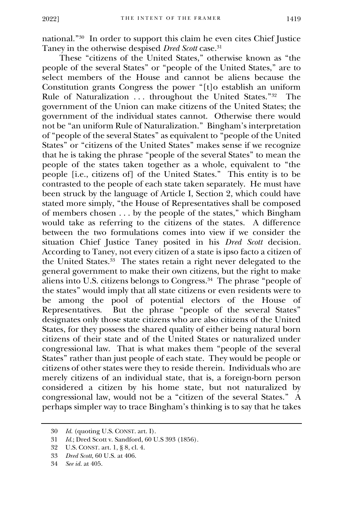national."<sup>30</sup> In order to support this claim he even cites Chief Justice Taney in the otherwise despised *Dred Scott* case.<sup>31</sup>

These "citizens of the United States," otherwise known as "the people of the several States" or "people of the United States," are to select members of the House and cannot be aliens because the Constitution grants Congress the power "[t]o establish an uniform Rule of Naturalization . . . throughout the United States."<sup>32</sup> The government of the Union can make citizens of the United States; the government of the individual states cannot. Otherwise there would not be "an uniform Rule of Naturalization." Bingham's interpretation of "people of the several States" as equivalent to "people of the United States" or "citizens of the United States" makes sense if we recognize that he is taking the phrase "people of the several States" to mean the people of the states taken together as a whole, equivalent to "the people [i.e., citizens of] of the United States." This entity is to be contrasted to the people of each state taken separately. He must have been struck by the language of Article I, Section 2, which could have stated more simply, "the House of Representatives shall be composed of members chosen . . . by the people of the states," which Bingham would take as referring to the citizens of the states. A difference between the two formulations comes into view if we consider the situation Chief Justice Taney posited in his *Dred Scott* decision. According to Taney, not every citizen of a state is ipso facto a citizen of the United States.<sup>33</sup> The states retain a right never delegated to the general government to make their own citizens, but the right to make aliens into U.S. citizens belongs to Congress.<sup>34</sup> The phrase "people of the states" would imply that all state citizens or even residents were to be among the pool of potential electors of the House of Representatives. But the phrase "people of the several States" designates only those state citizens who are also citizens of the United States, for they possess the shared quality of either being natural born citizens of their state and of the United States or naturalized under congressional law. That is what makes them "people of the several States" rather than just people of each state. They would be people or citizens of other states were they to reside therein. Individuals who are merely citizens of an individual state, that is, a foreign-born person considered a citizen by his home state, but not naturalized by congressional law, would not be a "citizen of the several States." A perhaps simpler way to trace Bingham's thinking is to say that he takes

<sup>30</sup> *Id.* (quoting U.S. CONST. art. I).

<sup>31</sup> *Id.*; Dred Scott v. Sandford, 60 U.S 393 (1856)*.*

<sup>32</sup> U.S. CONST. art. 1, § 8, cl. 4.

<sup>33</sup> *Dred Scott*, 60 U.S. at 406.

<sup>34</sup> *See id.* at 405.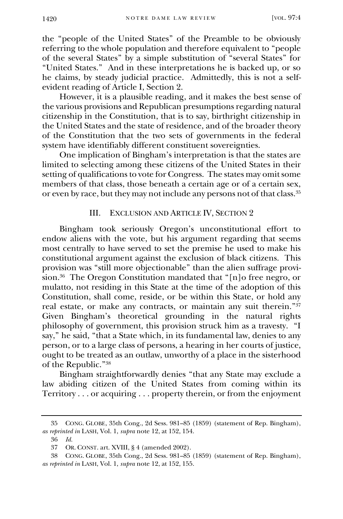the "people of the United States" of the Preamble to be obviously referring to the whole population and therefore equivalent to "people of the several States" by a simple substitution of "several States" for "United States." And in these interpretations he is backed up, or so he claims, by steady judicial practice. Admittedly, this is not a selfevident reading of Article I, Section 2.

However, it is a plausible reading, and it makes the best sense of the various provisions and Republican presumptions regarding natural citizenship in the Constitution, that is to say, birthright citizenship in the United States and the state of residence, and of the broader theory of the Constitution that the two sets of governments in the federal system have identifiably different constituent sovereignties.

One implication of Bingham's interpretation is that the states are limited to selecting among these citizens of the United States in their setting of qualifications to vote for Congress. The states may omit some members of that class, those beneath a certain age or of a certain sex, or even by race, but they may not include any persons not of that class.<sup>35</sup>

#### III. EXCLUSION AND ARTICLE IV, SECTION 2

Bingham took seriously Oregon's unconstitutional effort to endow aliens with the vote, but his argument regarding that seems most centrally to have served to set the premise he used to make his constitutional argument against the exclusion of black citizens. This provision was "still more objectionable" than the alien suffrage provision.<sup>36</sup> The Oregon Constitution mandated that "[n]o free negro, or mulatto, not residing in this State at the time of the adoption of this Constitution, shall come, reside, or be within this State, or hold any real estate, or make any contracts, or maintain any suit therein."<sup>37</sup> Given Bingham's theoretical grounding in the natural rights philosophy of government, this provision struck him as a travesty. "I say," he said, "that a State which, in its fundamental law, denies to any person, or to a large class of persons, a hearing in her courts of justice, ought to be treated as an outlaw, unworthy of a place in the sisterhood of the Republic."<sup>38</sup>

Bingham straightforwardly denies "that any State may exclude a law abiding citizen of the United States from coming within its Territory . . . or acquiring . . . property therein, or from the enjoyment

<sup>35</sup> CONG. GLOBE, 35th Cong., 2d Sess. 981–85 (1859) (statement of Rep. Bingham), *as reprinted in* LASH, Vol. 1, *supra* note 12, at 152, 154.

<sup>36</sup> *Id.*

<sup>37</sup> OR. CONST. art. XVIII, § 4 (amended 2002).

<sup>38</sup> CONG. GLOBE, 35th Cong., 2d Sess. 981–85 (1859) (statement of Rep. Bingham), *as reprinted in* LASH, Vol. 1, *supra* note 12, at 152, 155.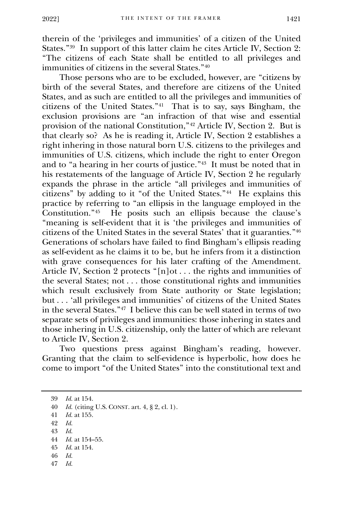therein of the 'privileges and immunities' of a citizen of the United States." 39 In support of this latter claim he cites Article IV, Section 2: "The citizens of each State shall be entitled to all privileges and immunities of citizens in the several States."<sup>40</sup>

Those persons who are to be excluded, however, are "citizens by birth of the several States, and therefore are citizens of the United States, and as such are entitled to all the privileges and immunities of citizens of the United States." 41 That is to say, says Bingham, the exclusion provisions are "an infraction of that wise and essential provision of the national Constitution,"<sup>42</sup> Article IV, Section 2. But is that clearly so? As he is reading it, Article IV, Section 2 establishes a right inhering in those natural born U.S. citizens to the privileges and immunities of U.S. citizens, which include the right to enter Oregon and to "a hearing in her courts of justice." 43 It must be noted that in his restatements of the language of Article IV, Section 2 he regularly expands the phrase in the article "all privileges and immunities of citizens" by adding to it "of the United States."<sup>44</sup> He explains this practice by referring to "an ellipsis in the language employed in the Constitution."<sup>45</sup> He posits such an ellipsis because the clause's "meaning is self-evident that it is 'the privileges and immunities of citizens of the United States in the several States' that it guaranties." 46 Generations of scholars have failed to find Bingham's ellipsis reading as self-evident as he claims it to be, but he infers from it a distinction with grave consequences for his later crafting of the Amendment. Article IV, Section 2 protects "[n]ot . . . the rights and immunities of the several States; not . . . those constitutional rights and immunities which result exclusively from State authority or State legislation; but . . . 'all privileges and immunities' of citizens of the United States in the several States."<sup>47</sup> I believe this can be well stated in terms of two separate sets of privileges and immunities: those inhering in states and those inhering in U.S. citizenship, only the latter of which are relevant to Article IV, Section 2.

Two questions press against Bingham's reading, however. Granting that the claim to self-evidence is hyperbolic, how does he come to import "of the United States" into the constitutional text and

43 *Id.* 

- 46 *Id.*
- 47 *Id.*

<sup>39</sup> *Id.* at 154.

<sup>40</sup> *Id.* (citing U.S. CONST. art. 4, § 2, cl. 1).

<sup>41</sup> *Id.* at 155.

<sup>42</sup> *Id.* 

<sup>44</sup> *Id.* at 154–55.

<sup>45</sup> *Id.* at 154.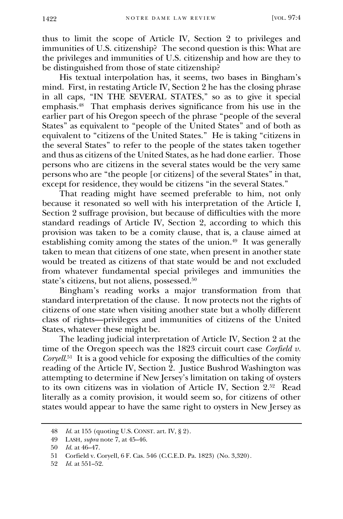thus to limit the scope of Article IV, Section 2 to privileges and immunities of U.S. citizenship? The second question is this: What are the privileges and immunities of U.S. citizenship and how are they to be distinguished from those of state citizenship?

His textual interpolation has, it seems, two bases in Bingham's mind. First, in restating Article IV, Section 2 he has the closing phrase in all caps, "IN THE SEVERAL STATES," so as to give it special emphasis.<sup>48</sup> That emphasis derives significance from his use in the earlier part of his Oregon speech of the phrase "people of the several States" as equivalent to "people of the United States" and of both as equivalent to "citizens of the United States." He is taking "citizens in the several States" to refer to the people of the states taken together and thus as citizens of the United States, as he had done earlier. Those persons who are citizens in the several states would be the very same persons who are "the people [or citizens] of the several States" in that, except for residence, they would be citizens "in the several States."

That reading might have seemed preferable to him, not only because it resonated so well with his interpretation of the Article I, Section 2 suffrage provision, but because of difficulties with the more standard readings of Article IV, Section 2, according to which this provision was taken to be a comity clause, that is, a clause aimed at establishing comity among the states of the union.<sup>49</sup> It was generally taken to mean that citizens of one state, when present in another state would be treated as citizens of that state would be and not excluded from whatever fundamental special privileges and immunities the state's citizens, but not aliens, possessed.<sup>50</sup>

Bingham's reading works a major transformation from that standard interpretation of the clause. It now protects not the rights of citizens of one state when visiting another state but a wholly different class of rights—privileges and immunities of citizens of the United States, whatever these might be.

The leading judicial interpretation of Article IV, Section 2 at the time of the Oregon speech was the 1823 circuit court case *Corfield v. Coryell*<sup>51</sup> It is a good vehicle for exposing the difficulties of the comity reading of the Article IV, Section 2. Justice Bushrod Washington was attempting to determine if New Jersey's limitation on taking of oysters to its own citizens was in violation of Article IV, Section 2.<sup>52</sup> Read literally as a comity provision, it would seem so, for citizens of other states would appear to have the same right to oysters in New Jersey as

<sup>48</sup> *Id.* at 155 (quoting U.S. CONST. art. IV, § 2).

<sup>49</sup> LASH, *supra* note 7, at 45–46.

<sup>50</sup> *Id.* at 46–47.

<sup>51</sup> Corfield v. Coryell, 6 F. Cas. 546 (C.C.E.D. Pa. 1823) (No. 3,320)*.*

<sup>52</sup> *Id.* at 551–52.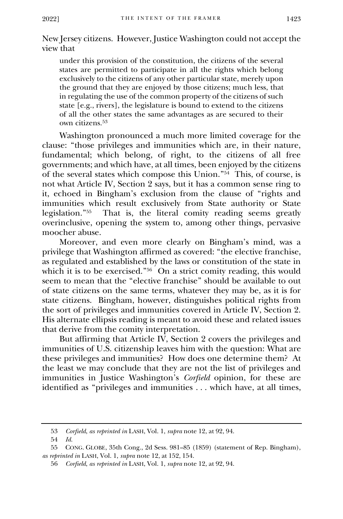New Jersey citizens. However, Justice Washington could not accept the view that

under this provision of the constitution, the citizens of the several states are permitted to participate in all the rights which belong exclusively to the citizens of any other particular state, merely upon the ground that they are enjoyed by those citizens; much less, that in regulating the use of the common property of the citizens of such state [e.g., rivers], the legislature is bound to extend to the citizens of all the other states the same advantages as are secured to their own citizens.<sup>53</sup>

Washington pronounced a much more limited coverage for the clause: "those privileges and immunities which are, in their nature, fundamental; which belong, of right, to the citizens of all free governments; and which have, at all times, been enjoyed by the citizens of the several states which compose this Union." 54 This, of course, is not what Article IV, Section 2 says, but it has a common sense ring to it, echoed in Bingham's exclusion from the clause of "rights and immunities which result exclusively from State authority or State legislation."<sup>55</sup> That is, the literal comity reading seems greatly overinclusive, opening the system to, among other things, pervasive moocher abuse.

Moreover, and even more clearly on Bingham's mind, was a privilege that Washington affirmed as covered: "the elective franchise, as regulated and established by the laws or constitution of the state in which it is to be exercised." 56 On a strict comity reading, this would seem to mean that the "elective franchise" should be available to out of state citizens on the same terms, whatever they may be, as it is for state citizens. Bingham, however, distinguishes political rights from the sort of privileges and immunities covered in Article IV, Section 2. His alternate ellipsis reading is meant to avoid these and related issues that derive from the comity interpretation.

But affirming that Article IV, Section 2 covers the privileges and immunities of U.S. citizenship leaves him with the question: What are these privileges and immunities? How does one determine them? At the least we may conclude that they are not the list of privileges and immunities in Justice Washington's *Corfield* opinion, for these are identified as "privileges and immunities . . . which have, at all times,

<sup>53</sup> *Corfield*, *as reprinted in* LASH, Vol. 1, *supra* note 12, at 92, 94.

<sup>54</sup> *Id.*

<sup>55</sup> CONG. GLOBE, 35th Cong., 2d Sess. 981–85 (1859) (statement of Rep. Bingham), *as reprinted in* LASH, Vol. 1, *supra* note 12, at 152, 154.

<sup>56</sup> *Corfield*, *as reprinted in* LASH, Vol. 1, *supra* note 12, at 92, 94.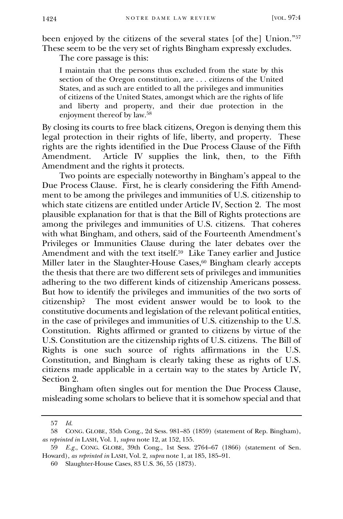been enjoyed by the citizens of the several states [of the] Union."<sup>57</sup> These seem to be the very set of rights Bingham expressly excludes.

The core passage is this:

I maintain that the persons thus excluded from the state by this section of the Oregon constitution, are . . . citizens of the United States, and as such are entitled to all the privileges and immunities of citizens of the United States, amongst which are the rights of life and liberty and property, and their due protection in the enjoyment thereof by law. 58

By closing its courts to free black citizens, Oregon is denying them this legal protection in their rights of life, liberty, and property. These rights are the rights identified in the Due Process Clause of the Fifth Amendment. Article IV supplies the link, then, to the Fifth Amendment and the rights it protects.

Two points are especially noteworthy in Bingham's appeal to the Due Process Clause. First, he is clearly considering the Fifth Amendment to be among the privileges and immunities of U.S. citizenship to which state citizens are entitled under Article IV, Section 2. The most plausible explanation for that is that the Bill of Rights protections are among the privileges and immunities of U.S. citizens. That coheres with what Bingham, and others, said of the Fourteenth Amendment's Privileges or Immunities Clause during the later debates over the Amendment and with the text itself.<sup>59</sup> Like Taney earlier and Justice Miller later in the Slaughter-House Cases, <sup>60</sup> Bingham clearly accepts the thesis that there are two different sets of privileges and immunities adhering to the two different kinds of citizenship Americans possess. But how to identify the privileges and immunities of the two sorts of citizenship? The most evident answer would be to look to the constitutive documents and legislation of the relevant political entities, in the case of privileges and immunities of U.S. citizenship to the U.S. Constitution. Rights affirmed or granted to citizens by virtue of the U.S. Constitution are the citizenship rights of U.S. citizens. The Bill of Rights is one such source of rights affirmations in the U.S. Constitution, and Bingham is clearly taking these as rights of U.S. citizens made applicable in a certain way to the states by Article IV, Section 2.

Bingham often singles out for mention the Due Process Clause, misleading some scholars to believe that it is somehow special and that

<sup>57</sup> *Id.*

<sup>58</sup> CONG. GLOBE, 35th Cong., 2d Sess. 981–85 (1859) (statement of Rep. Bingham), *as reprinted in* LASH, Vol. 1, *supra* note 12, at 152, 155.

<sup>59</sup> *E.g.*, CONG. GLOBE, 39th Cong., 1st Sess. 2764–67 (1866) (statement of Sen. Howard), *as reprinted in* LASH, Vol. 2, *supra* note 1, at 185, 185–91.

<sup>60</sup> Slaughter-House Cases, 83 U.S. 36, 55 (1873).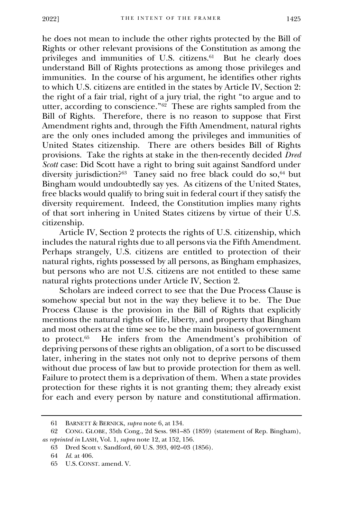he does not mean to include the other rights protected by the Bill of Rights or other relevant provisions of the Constitution as among the privileges and immunities of U.S. citizens.<sup>61</sup> But he clearly does understand Bill of Rights protections as among those privileges and immunities. In the course of his argument, he identifies other rights to which U.S. citizens are entitled in the states by Article IV, Section 2: the right of a fair trial, right of a jury trial, the right "to argue and to utter, according to conscience."<sup>62</sup> These are rights sampled from the Bill of Rights. Therefore, there is no reason to suppose that First Amendment rights and, through the Fifth Amendment, natural rights are the only ones included among the privileges and immunities of United States citizenship. There are others besides Bill of Rights provisions. Take the rights at stake in the then-recently decided *Dred Scott* case: Did Scott have a right to bring suit against Sandford under diversity jurisdiction?<sup>63</sup> Taney said no free black could do so,<sup>64</sup> but Bingham would undoubtedly say yes. As citizens of the United States, free blacks would qualify to bring suit in federal court if they satisfy the diversity requirement. Indeed, the Constitution implies many rights of that sort inhering in United States citizens by virtue of their U.S. citizenship.

Article IV, Section 2 protects the rights of U.S. citizenship, which includes the natural rights due to all persons via the Fifth Amendment. Perhaps strangely, U.S. citizens are entitled to protection of their natural rights, rights possessed by all persons, as Bingham emphasizes, but persons who are not U.S. citizens are not entitled to these same natural rights protections under Article IV, Section 2.

Scholars are indeed correct to see that the Due Process Clause is somehow special but not in the way they believe it to be. The Due Process Clause is the provision in the Bill of Rights that explicitly mentions the natural rights of life, liberty, and property that Bingham and most others at the time see to be the main business of government to protect.<sup>65</sup> He infers from the Amendment's prohibition of depriving persons of these rights an obligation, of a sort to be discussed later, inhering in the states not only not to deprive persons of them without due process of law but to provide protection for them as well. Failure to protect them is a deprivation of them. When a state provides protection for these rights it is not granting them; they already exist for each and every person by nature and constitutional affirmation.

<sup>61</sup> BARNETT & BERNICK, *supra* note 6, at 134.

<sup>62</sup> CONG. GLOBE, 35th Cong., 2d Sess. 981–85 (1859) (statement of Rep. Bingham), *as reprinted in* LASH, Vol. 1, *supra* note 12, at 152, 156.

<sup>63</sup> Dred Scott v. Sandford, 60 U.S. 393, 402–03 (1856).

<sup>64</sup> *Id.* at 406.

<sup>65</sup> U.S. CONST. amend. V.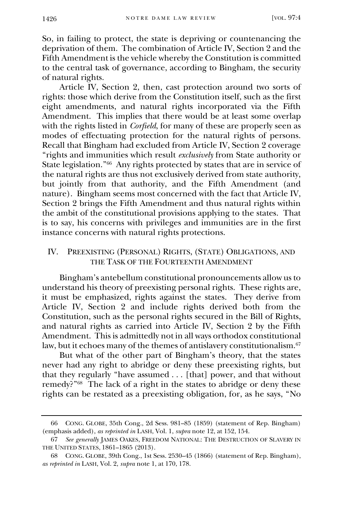So, in failing to protect, the state is depriving or countenancing the deprivation of them. The combination of Article IV, Section 2 and the Fifth Amendment is the vehicle whereby the Constitution is committed to the central task of governance, according to Bingham, the security of natural rights.

Article IV, Section 2, then, cast protection around two sorts of rights: those which derive from the Constitution itself, such as the first eight amendments, and natural rights incorporated via the Fifth Amendment. This implies that there would be at least some overlap with the rights listed in *Corfield*, for many of these are properly seen as modes of effectuating protection for the natural rights of persons. Recall that Bingham had excluded from Article IV, Section 2 coverage "rights and immunities which result *exclusively* from State authority or State legislation." 66 Any rights protected by states that are in service of the natural rights are thus not exclusively derived from state authority, but jointly from that authority, and the Fifth Amendment (and nature). Bingham seems most concerned with the fact that Article IV, Section 2 brings the Fifth Amendment and thus natural rights within the ambit of the constitutional provisions applying to the states. That is to say, his concerns with privileges and immunities are in the first instance concerns with natural rights protections.

#### IV. PREEXISTING (PERSONAL) RIGHTS, (STATE) OBLIGATIONS, AND THE TASK OF THE FOURTEENTH AMENDMENT

Bingham's antebellum constitutional pronouncements allow us to understand his theory of preexisting personal rights. These rights are, it must be emphasized, rights against the states. They derive from Article IV, Section 2 and include rights derived both from the Constitution, such as the personal rights secured in the Bill of Rights, and natural rights as carried into Article IV, Section 2 by the Fifth Amendment. This is admittedly not in all ways orthodox constitutional law, but it echoes many of the themes of antislavery constitutionalism.<sup>67</sup>

But what of the other part of Bingham's theory, that the states never had any right to abridge or deny these preexisting rights, but that they regularly "have assumed . . . [that] power, and that without remedy?" 68 The lack of a right in the states to abridge or deny these rights can be restated as a preexisting obligation, for, as he says, "No

<sup>66</sup> CONG. GLOBE, 35th Cong., 2d Sess. 981–85 (1859) (statement of Rep. Bingham) (emphasis added), *as reprinted in* LASH, Vol. 1, *supra* note 12, at 152, 154.

<sup>67</sup> *See generally* JAMES OAKES, FREEDOM NATIONAL: THE DESTRUCTION OF SLAVERY IN THE UNITED STATES, 1861–1865 (2013).

<sup>68</sup> CONG. GLOBE, 39th Cong., 1st Sess. 2530–45 (1866) (statement of Rep. Bingham), *as reprinted in* LASH, Vol. 2, *supra* note 1, at 170, 178.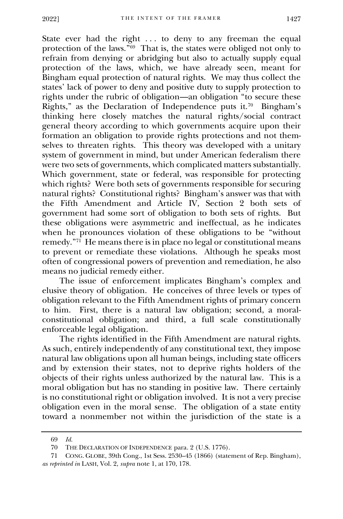State ever had the right ... to deny to any freeman the equal protection of the laws." 69 That is, the states were obliged not only to refrain from denying or abridging but also to actually supply equal protection of the laws, which, we have already seen, meant for Bingham equal protection of natural rights. We may thus collect the states' lack of power to deny and positive duty to supply protection to rights under the rubric of obligation—an obligation "to secure these Rights," as the Declaration of Independence puts it.<sup>70</sup> Bingham's thinking here closely matches the natural rights/social contract general theory according to which governments acquire upon their formation an obligation to provide rights protections and not themselves to threaten rights. This theory was developed with a unitary system of government in mind, but under American federalism there were two sets of governments, which complicated matters substantially. Which government, state or federal, was responsible for protecting which rights? Were both sets of governments responsible for securing natural rights? Constitutional rights? Bingham's answer was that with the Fifth Amendment and Article IV, Section 2 both sets of government had some sort of obligation to both sets of rights. But these obligations were asymmetric and ineffectual, as he indicates when he pronounces violation of these obligations to be "without remedy."<sup>71</sup> He means there is in place no legal or constitutional means to prevent or remediate these violations. Although he speaks most often of congressional powers of prevention and remediation, he also means no judicial remedy either.

The issue of enforcement implicates Bingham's complex and elusive theory of obligation. He conceives of three levels or types of obligation relevant to the Fifth Amendment rights of primary concern to him. First, there is a natural law obligation; second, a moralconstitutional obligation; and third, a full scale constitutionally enforceable legal obligation.

The rights identified in the Fifth Amendment are natural rights. As such, entirely independently of any constitutional text, they impose natural law obligations upon all human beings, including state officers and by extension their states, not to deprive rights holders of the objects of their rights unless authorized by the natural law. This is a moral obligation but has no standing in positive law. There certainly is no constitutional right or obligation involved. It is not a very precise obligation even in the moral sense. The obligation of a state entity toward a nonmember not within the jurisdiction of the state is a

<sup>69</sup> *Id.*

<sup>70</sup> THE DECLARATION OF INDEPENDENCE para. 2 (U.S. 1776).

<sup>71</sup> CONG. GLOBE, 39th Cong., 1st Sess. 2530–45 (1866) (statement of Rep. Bingham), *as reprinted in* LASH, Vol. 2, *supra* note 1, at 170, 178.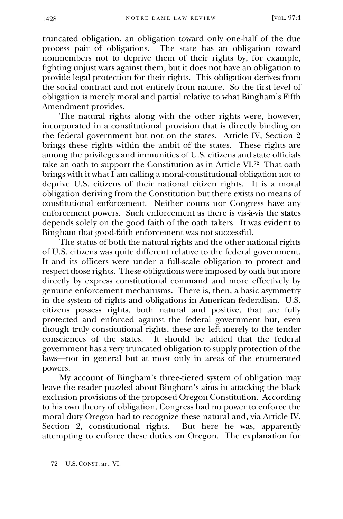truncated obligation, an obligation toward only one-half of the due process pair of obligations. The state has an obligation toward nonmembers not to deprive them of their rights by, for example, fighting unjust wars against them, but it does not have an obligation to provide legal protection for their rights. This obligation derives from the social contract and not entirely from nature. So the first level of obligation is merely moral and partial relative to what Bingham's Fifth Amendment provides.

The natural rights along with the other rights were, however, incorporated in a constitutional provision that is directly binding on the federal government but not on the states. Article IV, Section 2 brings these rights within the ambit of the states. These rights are among the privileges and immunities of U.S. citizens and state officials take an oath to support the Constitution as in Article VI.<sup>72</sup> That oath brings with it what I am calling a moral-constitutional obligation not to deprive U.S. citizens of their national citizen rights. It is a moral obligation deriving from the Constitution but there exists no means of constitutional enforcement. Neither courts nor Congress have any enforcement powers. Such enforcement as there is vis-à-vis the states depends solely on the good faith of the oath takers. It was evident to Bingham that good-faith enforcement was not successful.

The status of both the natural rights and the other national rights of U.S. citizens was quite different relative to the federal government. It and its officers were under a full-scale obligation to protect and respect those rights. These obligations were imposed by oath but more directly by express constitutional command and more effectively by genuine enforcement mechanisms. There is, then, a basic asymmetry in the system of rights and obligations in American federalism. U.S. citizens possess rights, both natural and positive, that are fully protected and enforced against the federal government but, even though truly constitutional rights, these are left merely to the tender consciences of the states. It should be added that the federal government has a very truncated obligation to supply protection of the laws—not in general but at most only in areas of the enumerated powers.

My account of Bingham's three-tiered system of obligation may leave the reader puzzled about Bingham's aims in attacking the black exclusion provisions of the proposed Oregon Constitution. According to his own theory of obligation, Congress had no power to enforce the moral duty Oregon had to recognize these natural and, via Article IV, Section 2, constitutional rights. But here he was, apparently attempting to enforce these duties on Oregon. The explanation for

<sup>72</sup> U.S. CONST. art. VI.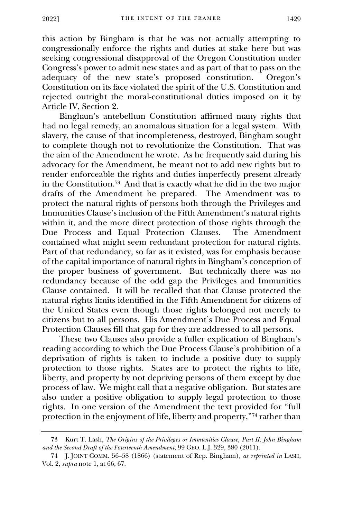this action by Bingham is that he was not actually attempting to congressionally enforce the rights and duties at stake here but was seeking congressional disapproval of the Oregon Constitution under Congress's power to admit new states and as part of that to pass on the adequacy of the new state's proposed constitution. Oregon's adequacy of the new state's proposed constitution. Constitution on its face violated the spirit of the U.S. Constitution and rejected outright the moral-constitutional duties imposed on it by Article IV, Section 2.

Bingham's antebellum Constitution affirmed many rights that had no legal remedy, an anomalous situation for a legal system. With slavery, the cause of that incompleteness, destroyed, Bingham sought to complete though not to revolutionize the Constitution. That was the aim of the Amendment he wrote. As he frequently said during his advocacy for the Amendment, he meant not to add new rights but to render enforceable the rights and duties imperfectly present already in the Constitution.<sup>73</sup> And that is exactly what he did in the two major drafts of the Amendment he prepared. The Amendment was to protect the natural rights of persons both through the Privileges and Immunities Clause's inclusion of the Fifth Amendment's natural rights within it, and the more direct protection of those rights through the Due Process and Equal Protection Clauses. The Amendment Due Process and Equal Protection Clauses. contained what might seem redundant protection for natural rights. Part of that redundancy, so far as it existed, was for emphasis because of the capital importance of natural rights in Bingham's conception of the proper business of government. But technically there was no redundancy because of the odd gap the Privileges and Immunities Clause contained. It will be recalled that that Clause protected the natural rights limits identified in the Fifth Amendment for citizens of the United States even though those rights belonged not merely to citizens but to all persons. His Amendment's Due Process and Equal Protection Clauses fill that gap for they are addressed to all persons.

These two Clauses also provide a fuller explication of Bingham's reading according to which the Due Process Clause's prohibition of a deprivation of rights is taken to include a positive duty to supply protection to those rights. States are to protect the rights to life, liberty, and property by not depriving persons of them except by due process of law. We might call that a negative obligation. But states are also under a positive obligation to supply legal protection to those rights. In one version of the Amendment the text provided for "full protection in the enjoyment of life, liberty and property,"<sup>74</sup> rather than

<sup>73</sup> Kurt T. Lash, *The Origins of the Privileges or Immunities Clause, Part II: John Bingham and the Second Draft of the Fourteenth Amendment*, 99 GEO. L.J. 329, 380 (2011).

<sup>74</sup> J. JOINT COMM. 56–58 (1866) (statement of Rep. Bingham), *as reprinted in* LASH, Vol. 2, *supra* note 1, at 66, 67.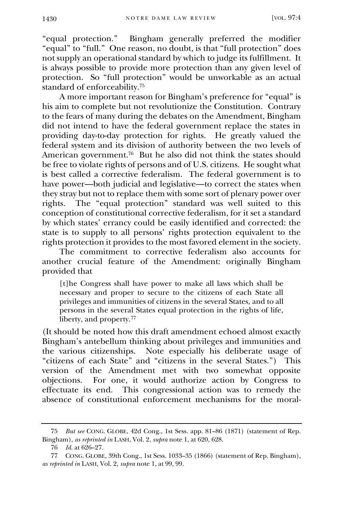"equal protection." Bingham generally preferred the modifier "equal" to "full." One reason, no doubt, is that "full protection" does not supply an operational standard by which to judge its fulfillment. It is always possible to provide more protection than any given level of protection. So "full protection" would be unworkable as an actual standard of enforceability.<sup>75</sup>

A more important reason for Bingham's preference for "equal" is his aim to complete but not revolutionize the Constitution. Contrary to the fears of many during the debates on the Amendment, Bingham did not intend to have the federal government replace the states in providing day-to-day protection for rights. He greatly valued the federal system and its division of authority between the two levels of American government.<sup>76</sup> But he also did not think the states should be free to violate rights of persons and of U.S. citizens. He sought what is best called a corrective federalism. The federal government is to have power—both judicial and legislative—to correct the states when they stray but not to replace them with some sort of plenary power over rights. The "equal protection" standard was well suited to this conception of constitutional corrective federalism, for it set a standard by which states' errancy could be easily identified and corrected: the state is to supply to all persons' rights protection equivalent to the rights protection it provides to the most favored element in the society.

The commitment to corrective federalism also accounts for another crucial feature of the Amendment: originally Bingham provided that

[t]he Congress shall have power to make all laws which shall be necessary and proper to secure to the citizens of each State all privileges and immunities of citizens in the several States, and to all persons in the several States equal protection in the rights of life, liberty, and property.<sup>77</sup>

(It should be noted how this draft amendment echoed almost exactly Bingham's antebellum thinking about privileges and immunities and the various citizenships. Note especially his deliberate usage of "citizens of each State" and "citizens in the several States.") This version of the Amendment met with two somewhat opposite objections. For one, it would authorize action by Congress to effectuate its end. This congressional action was to remedy the absence of constitutional enforcement mechanisms for the moral-

<sup>75</sup> *But see* CONG. GLOBE, 42d Cong., 1st Sess. app. 81–86 (1871) (statement of Rep. Bingham), *as reprinted in* LASH, Vol. 2, *supra* note 1, at 620, 628.

<sup>76</sup> *Id.* at 626–27.

<sup>77</sup> CONG. GLOBE, 39th Cong., 1st Sess. 1033–35 (1866) (statement of Rep. Bingham), *as reprinted in* LASH, Vol. 2, *supra* note 1, at 99, 99.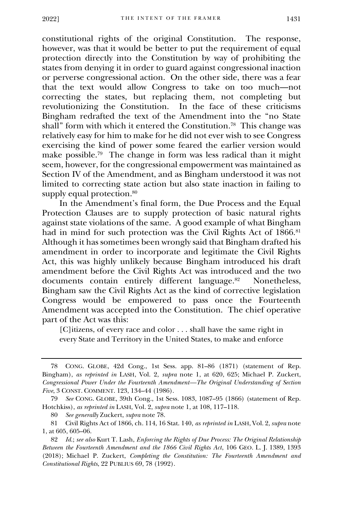constitutional rights of the original Constitution. The response, however, was that it would be better to put the requirement of equal protection directly into the Constitution by way of prohibiting the states from denying it in order to guard against congressional inaction or perverse congressional action. On the other side, there was a fear that the text would allow Congress to take on too much—not correcting the states, but replacing them, not completing but revolutionizing the Constitution. In the face of these criticisms Bingham redrafted the text of the Amendment into the "no State shall" form with which it entered the Constitution.<sup>78</sup> This change was relatively easy for him to make for he did not ever wish to see Congress exercising the kind of power some feared the earlier version would make possible.<sup>79</sup> The change in form was less radical than it might seem, however, for the congressional empowerment was maintained as Section IV of the Amendment, and as Bingham understood it was not limited to correcting state action but also state inaction in failing to supply equal protection.<sup>80</sup>

In the Amendment's final form, the Due Process and the Equal Protection Clauses are to supply protection of basic natural rights against state violations of the same. A good example of what Bingham had in mind for such protection was the Civil Rights Act of 1866.<sup>81</sup> Although it has sometimes been wrongly said that Bingham drafted his amendment in order to incorporate and legitimate the Civil Rights Act, this was highly unlikely because Bingham introduced his draft amendment before the Civil Rights Act was introduced and the two documents contain entirely different language.<sup>82</sup> Nonetheless, Bingham saw the Civil Rights Act as the kind of corrective legislation Congress would be empowered to pass once the Fourteenth Amendment was accepted into the Constitution. The chief operative part of the Act was this:

[C]itizens, of every race and color . . . shall have the same right in every State and Territory in the United States, to make and enforce

<sup>78</sup> CONG. GLOBE, 42d Cong., 1st Sess. app. 81–86 (1871) (statement of Rep. Bingham), *as reprinted in* LASH, Vol. 2, *supra* note 1, at 620, 625; Michael P. Zuckert, *Congressional Power Under the Fourteenth Amendment—The Original Understanding of Section Five*, 3 CONST. COMMENT. 123, 134–44 (1986).

<sup>79</sup> *See* CONG. GLOBE, 39th Cong., 1st Sess. 1083, 1087–95 (1866) (statement of Rep. Hotchkiss), *as reprinted in* LASH, Vol. 2, *supra* note 1, at 108, 117–118.

<sup>80</sup> *See generally* Zuckert, *supra* note 78.

<sup>81</sup> Civil Rights Act of 1866, ch. 114, 16 Stat. 140, *as reprinted in* LASH, Vol. 2, *supra* note 1, at 605, 605–06.

<sup>82</sup> *Id.*; *see also* Kurt T. Lash, *Enforcing the Rights of Due Process: The Original Relationship Between the Fourteenth Amendment and the 1866 Civil Rights Act*, 106 GEO. L. J. 1389, 1393 (2018); Michael P. Zuckert, *Completing the Constitution: The Fourteenth Amendment and Constitutional Rights*, 22 PUBLIUS 69, 78 (1992).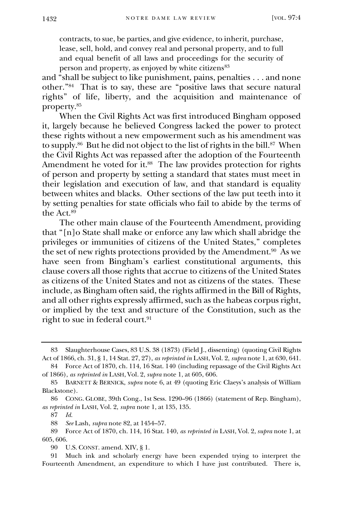contracts, to sue, be parties, and give evidence, to inherit, purchase, lease, sell, hold, and convey real and personal property, and to full and equal benefit of all laws and proceedings for the security of person and property, as enjoyed by white citizens<sup>83</sup>

and "shall be subject to like punishment, pains, penalties . . . and none other."<sup>84</sup> That is to say, these are "positive laws that secure natural rights" of life, liberty, and the acquisition and maintenance of property.<sup>85</sup>

When the Civil Rights Act was first introduced Bingham opposed it, largely because he believed Congress lacked the power to protect these rights without a new empowerment such as his amendment was to supply.<sup>86</sup> But he did not object to the list of rights in the bill.<sup>87</sup> When the Civil Rights Act was repassed after the adoption of the Fourteenth Amendment he voted for it.<sup>88</sup> The law provides protection for rights of person and property by setting a standard that states must meet in their legislation and execution of law, and that standard is equality between whites and blacks. Other sections of the law put teeth into it by setting penalties for state officials who fail to abide by the terms of the Act.<sup>89</sup>

The other main clause of the Fourteenth Amendment, providing that "[n]o State shall make or enforce any law which shall abridge the privileges or immunities of citizens of the United States," completes the set of new rights protections provided by the Amendment.<sup>90</sup> As we have seen from Bingham's earliest constitutional arguments, this clause covers all those rights that accrue to citizens of the United States as citizens of the United States and not as citizens of the states. These include, as Bingham often said, the rights affirmed in the Bill of Rights, and all other rights expressly affirmed, such as the habeas corpus right, or implied by the text and structure of the Constitution, such as the right to sue in federal court.<sup>91</sup>

<sup>83</sup> Slaughterhouse Cases, 83 U.S. 38 (1873) (Field J., dissenting) (quoting Civil Rights Act of 1866, ch. 31, § 1, 14 Stat. 27, 27), *as reprinted in* LASH, Vol. 2, *supra* note 1, at 630, 641.

<sup>84</sup> Force Act of 1870, ch. 114, 16 Stat. 140 (including repassage of the Civil Rights Act of 1866), *as reprinted in* LASH, Vol. 2, *supra* note 1, at 605, 606.

<sup>85</sup> BARNETT & BERNICK, *supra* note 6, at 49 (quoting Eric Claeys's analysis of William Blackstone).

<sup>86</sup> CONG. GLOBE, 39th Cong., 1st Sess. 1290–96 (1866) (statement of Rep. Bingham), *as reprinted in* LASH, Vol. 2, *supra* note 1, at 135, 135.

<sup>87</sup> *Id.*

<sup>88</sup> *See* Lash, *supra* note 82, at 1454–57.

<sup>89</sup> Force Act of 1870, ch. 114, 16 Stat. 140, *as reprinted in* LASH, Vol. 2, *supra* note 1, at 605, 606.

<sup>90</sup> U.S. CONST. amend. XIV, § 1.

<sup>91</sup> Much ink and scholarly energy have been expended trying to interpret the Fourteenth Amendment, an expenditure to which I have just contributed. There is,